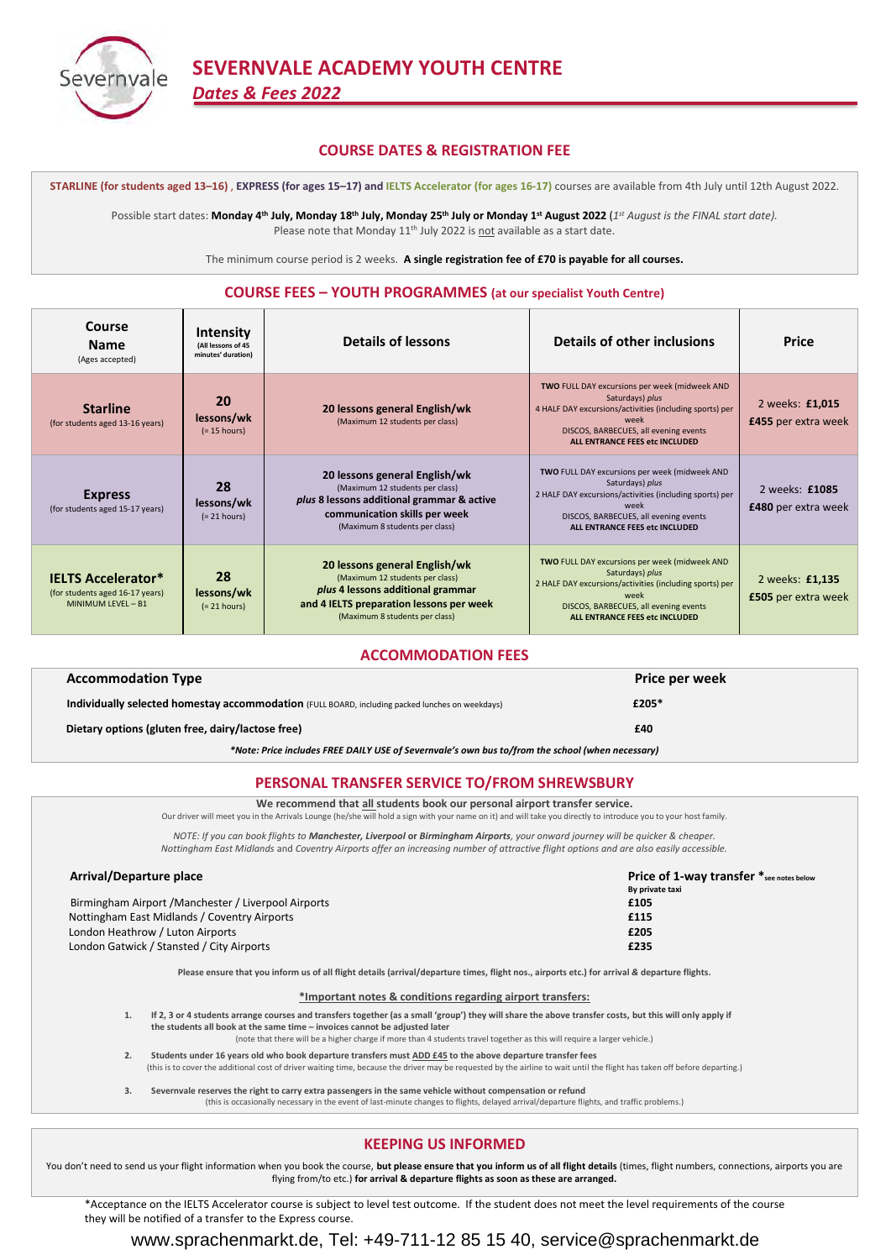

# **SEVERNVALE ACADEMY YOUTH CENTRE** *Dates & Fees 2022*

## **COURSE DATES & REGISTRATION FEE**

**STARLINE (for students aged 13–16)** , **EXPRESS (for ages 15–17) and IELTS Accelerator (for ages 16-17)** courses are available from 4th July until 12th August 2022.

Possible start dates: **Monday 4<sup>th</sup> July, Monday 18<sup>th</sup> July, Monday 25<sup>th</sup> July or Monday 1<sup>st</sup> August 2022 (1st August is the FINAL start date).** Please note that Monday 11<sup>th</sup> July 2022 is not available as a start date.

The minimum course period is 2 weeks. **A single registration fee of £70 is payable for all courses.**

## **COURSE FEES – YOUTH PROGRAMMES (at our specialist Youth Centre)**

| Course<br><b>Name</b><br>(Ages accepted)                                           | Intensity<br>(All lessons of 45<br>minutes' duration) | <b>Details of lessons</b>                                                                                                                                                           | Details of other inclusions                                                                                                                                                                                           | <b>Price</b>                                 |
|------------------------------------------------------------------------------------|-------------------------------------------------------|-------------------------------------------------------------------------------------------------------------------------------------------------------------------------------------|-----------------------------------------------------------------------------------------------------------------------------------------------------------------------------------------------------------------------|----------------------------------------------|
| <b>Starline</b><br>(for students aged 13-16 years)                                 | 20<br>lessons/wk<br>$(= 15$ hours)                    | 20 lessons general English/wk<br>(Maximum 12 students per class)                                                                                                                    | TWO FULL DAY excursions per week (midweek AND<br>Saturdays) plus<br>4 HALF DAY excursions/activities (including sports) per<br>week<br>DISCOS, BARBECUES, all evening events<br>ALL ENTRANCE FEES etc INCLUDED        | 2 weeks: £1,015<br>£455 per extra week       |
| <b>Express</b><br>(for students aged 15-17 years)                                  | 28<br>lessons/wk<br>$(= 21$ hours)                    | 20 lessons general English/wk<br>(Maximum 12 students per class)<br>plus 8 lessons additional grammar & active<br>communication skills per week<br>(Maximum 8 students per class)   | TWO FULL DAY excursions per week (midweek AND<br>Saturdays) plus<br>2 HALF DAY excursions/activities (including sports) per<br>week<br>DISCOS, BARBECUES, all evening events<br>ALL ENTRANCE FEES etc INCLUDED        | 2 weeks: £1085<br><b>£480</b> per extra week |
| <b>IELTS Accelerator*</b><br>(for students aged 16-17 years)<br>MINIMUM LEVEL - B1 | 28<br>lessons/wk<br>$(= 21 hours)$                    | 20 lessons general English/wk<br>(Maximum 12 students per class)<br>plus 4 lessons additional grammar<br>and 4 IELTS preparation lessons per week<br>(Maximum 8 students per class) | <b>TWO FULL DAY excursions per week (midweek AND</b><br>Saturdays) plus<br>2 HALF DAY excursions/activities (including sports) per<br>week<br>DISCOS, BARBECUES, all evening events<br>ALL ENTRANCE FEES etc INCLUDED | 2 weeks: £1,135<br>£505 per extra week       |

### **ACCOMMODATION FEES**

|                                                                                                  | <b>Accommodation Type</b>                                                                       | Price per week |  |  |
|--------------------------------------------------------------------------------------------------|-------------------------------------------------------------------------------------------------|----------------|--|--|
|                                                                                                  | Individually selected homestay accommodation (FULL BOARD, including packed lunches on weekdays) | £205*          |  |  |
|                                                                                                  | Dietary options (gluten free, dairy/lactose free)                                               | £40            |  |  |
| *Note: Price includes FREE DAILY USE of Severnvale's own bus to/from the school (when necessary) |                                                                                                 |                |  |  |

## **PERSONAL TRANSFER SERVICE TO/FROM SHREWSBURY**

**We recommend that all students book our personal airport transfer service.**

Our driver will meet you in the Arrivals Lounge (he/she will hold a sign with your name on it) and will take you directly to introduce you to your host family.

*NOTE: If you can book flights to Manchester, Liverpool* **or** *Birmingham Airports, your onward journey will be quicker & cheaper. Nottingham East Midlands* and *Coventry Airports offer an increasing number of attractive flight options and are also easily accessible.*

| Arrival/Departure place                              | <b>Price of 1-way transfer</b> *see notes below |  |
|------------------------------------------------------|-------------------------------------------------|--|
|                                                      | By private taxi                                 |  |
| Birmingham Airport / Manchester / Liverpool Airports | £105                                            |  |
| Nottingham East Midlands / Coventry Airports         | £115                                            |  |
| London Heathrow / Luton Airports                     | £205                                            |  |
| London Gatwick / Stansted / City Airports            | £235                                            |  |

**Please ensure that you inform us of all flight details (arrival/departure times, flight nos., airports etc.) for arrival** *&* **departure flights.**

**\*Important notes & conditions regarding airport transfers:**

- **1. If 2, 3 or 4 students arrange courses and transfers together (as a small 'group') they will share the above transfer costs, but this will only apply if the students all book at the same time – invoices cannot be adjusted later**
	- (note that there will be a higher charge if more than 4 students travel together as this will require a larger vehicle.)
- **2. Students under 16 years old who book departure transfers must ADD £45 to the above departure transfer fees**
- (this is to cover the additional cost of driver waiting time, because the driver may be requested by the airline to wait until the flight has taken off before departing.)
- **3. Severnvale reserves the right to carry extra passengers in the same vehicle without compensation or refund** (this is occasionally necessary in the event of last-minute changes to flights, delayed arrival/departure flights, and traffic problems.)

### **KEEPING US INFORMED**

You don't need to send us your flight information when you book the course, but please ensure that you inform us of all flight details (times, flight numbers, connections, airports you are flying from/to etc.) **for arrival & departure flights as soon as these are arranged.**

\*Acceptance on the IELTS Accelerator course is subject to level test outcome. If the student does not meet the level requirements of the course they will be notified of a transfer to the Express course.

# www.sprachenmarkt.de, Tel: +49-711-12 85 15 40, service@sprachenmarkt.de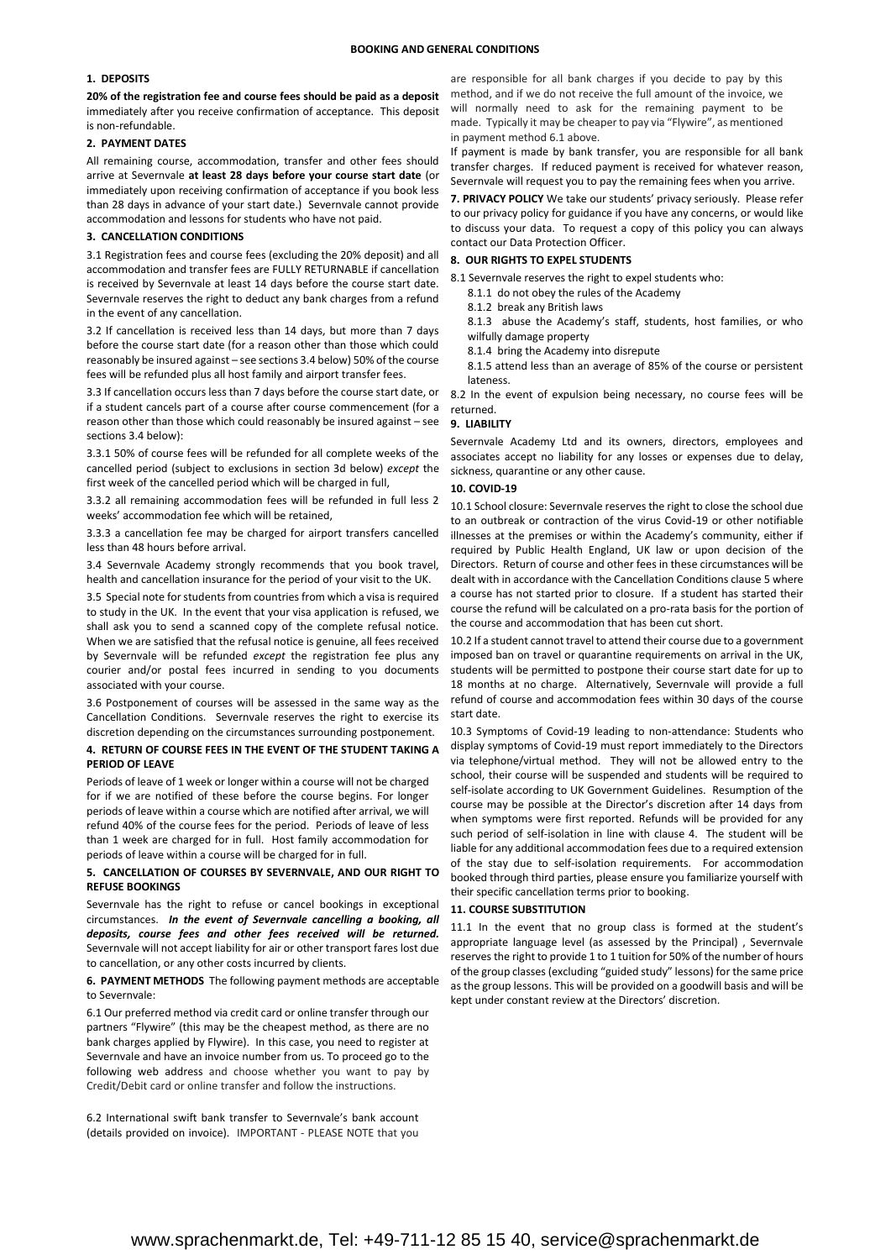#### **1. DEPOSITS**

**20% of the registration fee and course fees should be paid as a deposit** immediately after you receive confirmation of acceptance. This deposit is non-refundable.

#### **2. PAYMENT DATES**

All remaining course, accommodation, transfer and other fees should arrive at Severnvale **at least 28 days before your course start date** (or immediately upon receiving confirmation of acceptance if you book less than 28 days in advance of your start date.) Severnvale cannot provide accommodation and lessons for students who have not paid.

#### **3. CANCELLATION CONDITIONS**

3.1 Registration fees and course fees (excluding the 20% deposit) and all accommodation and transfer fees are FULLY RETURNABLE if cancellation is received by Severnvale at least 14 days before the course start date. Severnvale reserves the right to deduct any bank charges from a refund in the event of any cancellation.

3.2 If cancellation is received less than 14 days, but more than 7 days before the course start date (for a reason other than those which could reasonably be insured against – see sections 3.4 below) 50% of the course fees will be refunded plus all host family and airport transfer fees.

3.3 If cancellation occurs less than 7 days before the course start date, or if a student cancels part of a course after course commencement (for a reason other than those which could reasonably be insured against – see sections 3.4 below):

3.3.1 50% of course fees will be refunded for all complete weeks of the cancelled period (subject to exclusions in section 3d below) *except* the first week of the cancelled period which will be charged in full,

3.3.2 all remaining accommodation fees will be refunded in full less 2 weeks' accommodation fee which will be retained,

3.3.3 a cancellation fee may be charged for airport transfers cancelled less than 48 hours before arrival.

3.4 Severnvale Academy strongly recommends that you book travel, health and cancellation insurance for the period of your visit to the UK.

3.5 Special note for students from countries from which a visa is required to study in the UK. In the event that your visa application is refused, we shall ask you to send a scanned copy of the complete refusal notice. When we are satisfied that the refusal notice is genuine, all fees received by Severnvale will be refunded *except* the registration fee plus any courier and/or postal fees incurred in sending to you documents associated with your course.

3.6 Postponement of courses will be assessed in the same way as the Cancellation Conditions. Severnvale reserves the right to exercise its discretion depending on the circumstances surrounding postponement.

#### **4. RETURN OF COURSE FEES IN THE EVENT OF THE STUDENT TAKING A PERIOD OF LEAVE**

Periods of leave of 1 week or longer within a course will not be charged for if we are notified of these before the course begins. For longer periods of leave within a course which are notified after arrival, we will refund 40% of the course fees for the period. Periods of leave of less than 1 week are charged for in full. Host family accommodation for periods of leave within a course will be charged for in full.

#### **5. CANCELLATION OF COURSES BY SEVERNVALE, AND OUR RIGHT TO REFUSE BOOKINGS**

Severnvale has the right to refuse or cancel bookings in exceptional circumstances. *In the event of Severnvale cancelling a booking, all deposits, course fees and other fees received will be returned.*  Severnvale will not accept liability for air or other transport fares lost due to cancellation, or any other costs incurred by clients.

#### **6. PAYMENT METHODS** The following payment methods are acceptable to Severnvale:

6.1 Our preferred method via credit card or online transfer through our partners "Flywire" (this may be the cheapest method, as there are no bank charges applied by Flywire). In this case, you need to register at Severnvale and have an invoice number from us. To proceed go to the following web address [and choose whether you wan](https://severnvale.flywire.com/)t to pay by Credit/Debit card or online transfer and follow the instructions.

6.2 International swift bank transfer to Severnvale's bank account (details provided on invoice). IMPORTANT - PLEASE NOTE that you

are responsible for all bank charges if you decide to pay by this method, and if we do not receive the full amount of the invoice, we will normally need to ask for the remaining payment to be made. Typically it may be cheaper to pay via "Flywire", as mentioned in payment method 6.1 above.

If payment is made by bank transfer, you are responsible for all bank transfer charges. If reduced payment is received for whatever reason, Severnvale will request you to pay the remaining fees when you arrive.

**7. PRIVACY POLICY** We take our students' privacy seriously. Please refer to our privacy policy for guidance if you have any concerns, or would like to discuss your data. To request a c[opy of this policy you can a](mailto:enquiry@severnvale.co.uk)lways contact our Data Protection Officer.

#### **8. OUR RIGHTS TO EXPEL STUDENTS**

- 8.1 Severnvale reserves the right to expel students who:
	- 8.1.1 do not obey the rules of the Academy
	- 8.1.2 break any British laws

8.1.3 abuse the Academy's staff, students, host families, or who wilfully damage property

8.1.4 bring the Academy into disrepute

8.1.5 attend less than an average of 85% of the course or persistent lateness.

8.2 In the event of expulsion being necessary, no course fees will be returned.

#### **9. LIABILITY**

Severnvale Academy Ltd and its owners, directors, employees and associates accept no liability for any losses or expenses due to delay, sickness, quarantine or any other cause.

#### **10. COVID-19**

10.1 School closure: Severnvale reserves the right to close the school due to an outbreak or contraction of the virus Covid-19 or other notifiable illnesses at the premises or within the Academy's community, either if required by Public Health England, UK law or upon decision of the Directors. Return of course and other fees in these circumstances will be dealt with in accordance with the Cancellation Conditions clause 5 where a course has not started prior to closure. If a student has started their course the refund will be calculated on a pro-rata basis for the portion of the course and accommodation that has been cut short.

10.2 If a student cannot travel to attend their course due to a government imposed ban on travel or quarantine requirements on arrival in the UK. students will be permitted to postpone their course start date for up to 18 months at no charge. Alternatively, Severnvale will provide a full refund of course and accommodation fees within 30 days of the course start date.

10.3 Symptoms of Covid-19 leading to non-attendance: Students who display symptoms of Covid-19 must report immediately to the Directors via telephone/virtual method. They will not be allowed entry to the school, their course will be suspended and students will be required to self-isolate according to UK Government Guidelines. Resumption of the course may be possible at the Director's discretion after 14 days from when symptoms were first reported. Refunds will be provided for any such period of self-isolation in line with clause 4. The student will be liable for any additional accommodation fees due to a required extension of the stay due to self-isolation requirements. For accommodation booked through third parties, please ensure you familiarize yourself with their specific cancellation terms prior to booking.

#### **11. COURSE SUBSTITUTION**

11.1 In the event that no group class is formed at the student's appropriate language level (as assessed by the Principal) , Severnvale reserves the right to provide 1 to 1 tuition for 50% of the number of hours of the group classes (excluding "guided study" lessons) for the same price as the group lessons. This will be provided on a goodwill basis and will be kept under constant review at the Directors' discretion.